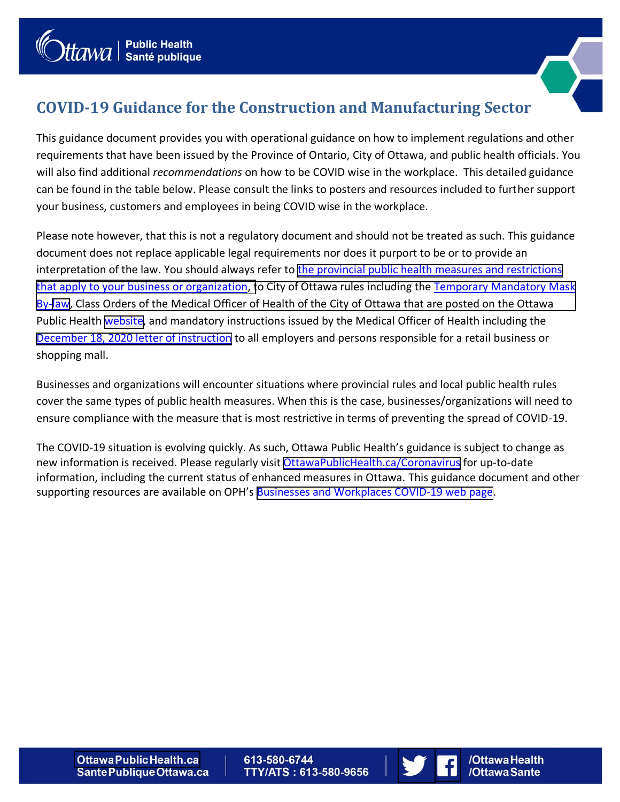

/Ottawa Health

/OttawaSante

## **COVID-19 Guidance for the Construction and Manufacturing Sector**

This guidance document provides you with operational guidance on how to implement regulations and other requirements that have been issued by the Province of Ontario, City of Ottawa, and public health officials. You will also find additional *recommendations* on how to be COVID wise in the workplace. This detailed guidance can be found in the table below. Please consult the links to posters and resources included to further support your business, customers and employees in being COVID wise in the workplace.

Please note however, that this is not a regulatory document and should not be treated as such. This guidance document does not replace applicable legal requirements nor does it purport to be or to provide an interpretation of the law. You should always refer to [the provincial public health measures and restrictions](https://covid-19.ontario.ca/zones-and-restrictions) [that apply to your business or organization, to City of Ottawa rules including the Temporary Mandatory Mask](https://ottawa.ca/en/health-and-public-safety/covid-19-ottawa/wearing-mask#temporary-mandatory-mask-law) By-[law,](https://ottawa.ca/en/health-and-public-safety/covid-19-ottawa/wearing-mask#temporary-mandatory-mask-law) Class Orders of the Medical Officer of Health of the City of Ottawa that are posted on the Ottawa Public Health [website,](https://www.ottawapublichealth.ca/en/public-health-topics/novel-coronavirus.aspx?utm_source=OPH&utm_medium=Friendly_URL&utm_campaign=Coronavirus&utm_content=Friendly_URL) and mandatory instructions issued by the Medical Officer of Health including the [December 18, 2020 letter of instruction](https://www.ottawapublichealth.ca/en/public-health-topics/resources/Documents/LOI-FINAL-EN.pdf) to all employers and persons responsible for a retail business or shopping mall.

Businesses and organizations will encounter situations where provincial rules and local public health rules cover the same types of public health measures. When this is the case, businesses/organizations will need to ensure compliance with the measure that is most restrictive in terms of preventing the spread of COVID-19.

The COVID-19 situation is evolving quickly. As such, Ottawa Public Health's guidance is subject to change as new information is received. Please regularly visit [OttawaPublicHealth.ca/Coronavirus](https://www.ottawapublichealth.ca/en/public-health-topics/novel-coronavirus.aspx?utm_source=OPH&utm_medium=Home_Page_Banner&utm_campaign=Coronavirus&utm_content=Home_Page_Banner_OPH) for up-to-date information, including the current status of enhanced measures in Ottawa. This guidance document and other supporting resources are available on OPH's [Businesses and Workplaces COVID-19 web page](https://www.ottawapublichealth.ca/en/public-health-topics/covid-19-information-for-workplaces.aspx).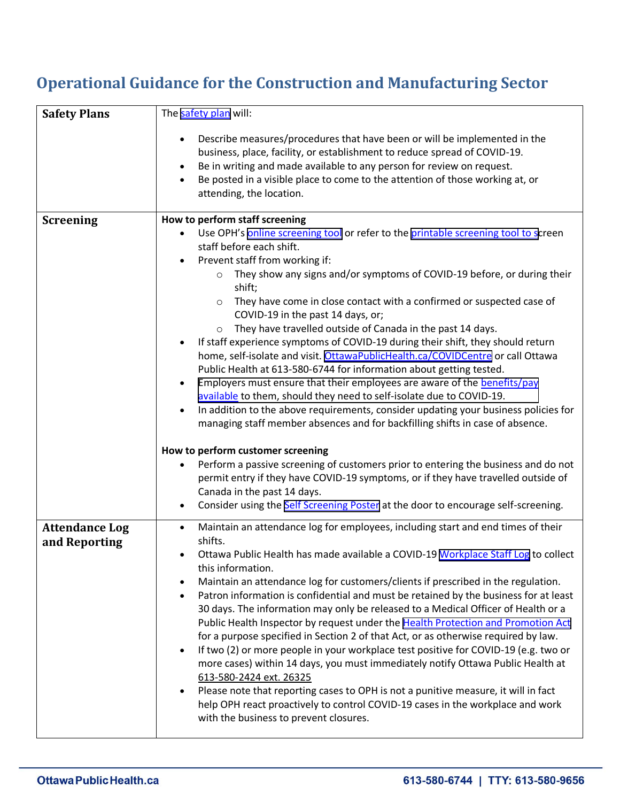## **Operational Guidance for the Construction and Manufacturing Sector**

| <b>Safety Plans</b>                    | The safety plan will:                                                                                                                                                                                                                                                                                                                                                                                                                                                                                                                                                                                                                                                                                                                                                                                                                                                                                                                                                                                                                                                     |
|----------------------------------------|---------------------------------------------------------------------------------------------------------------------------------------------------------------------------------------------------------------------------------------------------------------------------------------------------------------------------------------------------------------------------------------------------------------------------------------------------------------------------------------------------------------------------------------------------------------------------------------------------------------------------------------------------------------------------------------------------------------------------------------------------------------------------------------------------------------------------------------------------------------------------------------------------------------------------------------------------------------------------------------------------------------------------------------------------------------------------|
|                                        | Describe measures/procedures that have been or will be implemented in the<br>business, place, facility, or establishment to reduce spread of COVID-19.<br>Be in writing and made available to any person for review on request.<br>Be posted in a visible place to come to the attention of those working at, or<br>attending, the location.                                                                                                                                                                                                                                                                                                                                                                                                                                                                                                                                                                                                                                                                                                                              |
| <b>Screening</b>                       | How to perform staff screening<br>Use OPH's online screening tool or refer to the printable screening tool to screen<br>staff before each shift.<br>Prevent staff from working if:<br>They show any signs and/or symptoms of COVID-19 before, or during their<br>$\circ$<br>shift;<br>They have come in close contact with a confirmed or suspected case of<br>$\circ$<br>COVID-19 in the past 14 days, or;<br>They have travelled outside of Canada in the past 14 days.<br>$\circ$<br>If staff experience symptoms of COVID-19 during their shift, they should return<br>home, self-isolate and visit. OttawaPublicHealth.ca/COVIDCentre or call Ottawa<br>Public Health at 613-580-6744 for information about getting tested.<br>Employers must ensure that their employees are aware of the benefits/pay<br>available to them, should they need to self-isolate due to COVID-19.<br>In addition to the above requirements, consider updating your business policies for<br>$\bullet$<br>managing staff member absences and for backfilling shifts in case of absence. |
|                                        | How to perform customer screening<br>Perform a passive screening of customers prior to entering the business and do not<br>permit entry if they have COVID-19 symptoms, or if they have travelled outside of<br>Canada in the past 14 days.<br>Consider using the Self Screening Poster at the door to encourage self-screening.                                                                                                                                                                                                                                                                                                                                                                                                                                                                                                                                                                                                                                                                                                                                          |
| <b>Attendance Log</b><br>and Reporting | Maintain an attendance log for employees, including start and end times of their<br>shifts.<br>Ottawa Public Health has made available a COVID-19 Workplace Staff Log to collect<br>this information.<br>Maintain an attendance log for customers/clients if prescribed in the regulation.<br>Patron information is confidential and must be retained by the business for at least<br>30 days. The information may only be released to a Medical Officer of Health or a<br>Public Health Inspector by request under the Health Protection and Promotion Act<br>for a purpose specified in Section 2 of that Act, or as otherwise required by law.<br>If two (2) or more people in your workplace test positive for COVID-19 (e.g. two or<br>more cases) within 14 days, you must immediately notify Ottawa Public Health at<br>613-580-2424 ext. 26325<br>Please note that reporting cases to OPH is not a punitive measure, it will in fact<br>help OPH react proactively to control COVID-19 cases in the workplace and work<br>with the business to prevent closures.  |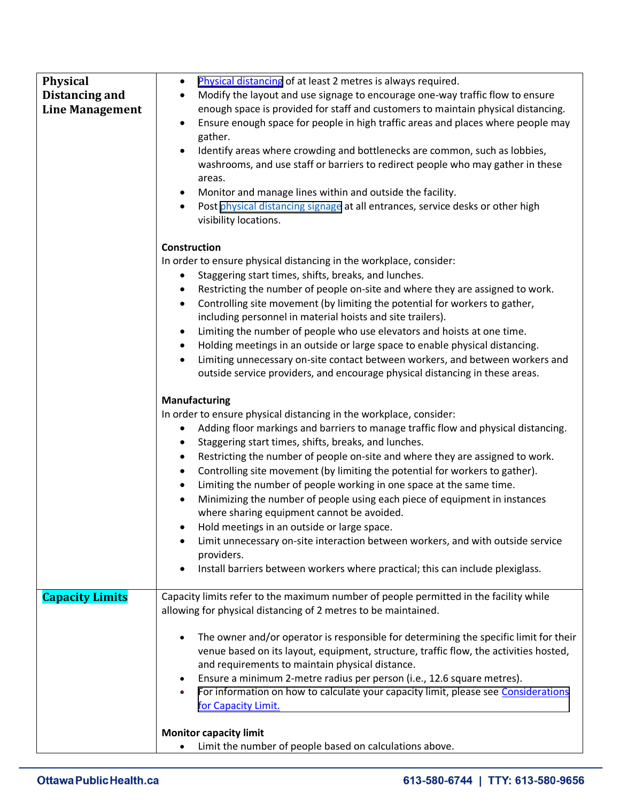| <b>Physical</b>        | Physical distancing of at least 2 metres is always required.<br>$\bullet$                       |
|------------------------|-------------------------------------------------------------------------------------------------|
|                        |                                                                                                 |
| Distancing and         | Modify the layout and use signage to encourage one-way traffic flow to ensure<br>$\bullet$      |
| <b>Line Management</b> | enough space is provided for staff and customers to maintain physical distancing.               |
|                        | Ensure enough space for people in high traffic areas and places where people may                |
|                        | gather.                                                                                         |
|                        | Identify areas where crowding and bottlenecks are common, such as lobbies,                      |
|                        | washrooms, and use staff or barriers to redirect people who may gather in these                 |
|                        | areas.                                                                                          |
|                        | Monitor and manage lines within and outside the facility.                                       |
|                        | Post physical distancing signage at all entrances, service desks or other high                  |
|                        | visibility locations.                                                                           |
|                        | <b>Construction</b>                                                                             |
|                        | In order to ensure physical distancing in the workplace, consider:                              |
|                        | Staggering start times, shifts, breaks, and lunches.<br>$\bullet$                               |
|                        | Restricting the number of people on-site and where they are assigned to work.<br>$\bullet$      |
|                        | Controlling site movement (by limiting the potential for workers to gather,                     |
|                        | ٠<br>including personnel in material hoists and site trailers).                                 |
|                        |                                                                                                 |
|                        | Limiting the number of people who use elevators and hoists at one time.<br>٠                    |
|                        | Holding meetings in an outside or large space to enable physical distancing.<br>$\bullet$       |
|                        | Limiting unnecessary on-site contact between workers, and between workers and<br>$\bullet$      |
|                        | outside service providers, and encourage physical distancing in these areas.                    |
|                        | Manufacturing                                                                                   |
|                        | In order to ensure physical distancing in the workplace, consider:                              |
|                        | Adding floor markings and barriers to manage traffic flow and physical distancing.<br>$\bullet$ |
|                        | Staggering start times, shifts, breaks, and lunches.                                            |
|                        | Restricting the number of people on-site and where they are assigned to work.<br>$\bullet$      |
|                        | Controlling site movement (by limiting the potential for workers to gather).<br>$\bullet$       |
|                        | Limiting the number of people working in one space at the same time.<br>$\bullet$               |
|                        | Minimizing the number of people using each piece of equipment in instances<br>$\bullet$         |
|                        | where sharing equipment cannot be avoided.                                                      |
|                        | Hold meetings in an outside or large space.                                                     |
|                        | Limit unnecessary on-site interaction between workers, and with outside service                 |
|                        | providers.                                                                                      |
|                        | Install barriers between workers where practical; this can include plexiglass.                  |
|                        |                                                                                                 |
| <b>Capacity Limits</b> | Capacity limits refer to the maximum number of people permitted in the facility while           |
|                        | allowing for physical distancing of 2 metres to be maintained.                                  |
|                        |                                                                                                 |
|                        | The owner and/or operator is responsible for determining the specific limit for their           |
|                        | venue based on its layout, equipment, structure, traffic flow, the activities hosted,           |
|                        | and requirements to maintain physical distance.                                                 |
|                        | Ensure a minimum 2-metre radius per person (i.e., 12.6 square metres).                          |
|                        | For information on how to calculate your capacity limit, please see Considerations<br>$\bullet$ |
|                        | for Capacity Limit.                                                                             |
|                        |                                                                                                 |
|                        | <b>Monitor capacity limit</b>                                                                   |
|                        | Limit the number of people based on calculations above.                                         |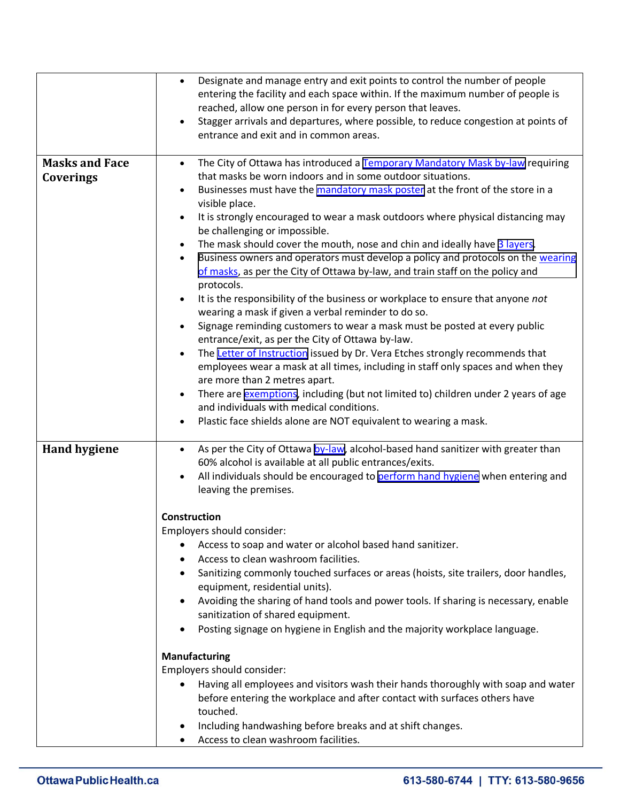|                       | Designate and manage entry and exit points to control the number of people<br>$\bullet$                          |
|-----------------------|------------------------------------------------------------------------------------------------------------------|
|                       | entering the facility and each space within. If the maximum number of people is                                  |
|                       | reached, allow one person in for every person that leaves.                                                       |
|                       | Stagger arrivals and departures, where possible, to reduce congestion at points of                               |
|                       | entrance and exit and in common areas.                                                                           |
|                       |                                                                                                                  |
| <b>Masks and Face</b> | The City of Ottawa has introduced a Temporary Mandatory Mask by-law requiring<br>$\bullet$                       |
| Coverings             | that masks be worn indoors and in some outdoor situations.                                                       |
|                       | Businesses must have the mandatory mask poster at the front of the store in a<br>$\bullet$                       |
|                       | visible place.                                                                                                   |
|                       | It is strongly encouraged to wear a mask outdoors where physical distancing may<br>be challenging or impossible. |
|                       | The mask should cover the mouth, nose and chin and ideally have 3 layers.<br>$\bullet$                           |
|                       | Business owners and operators must develop a policy and protocols on the wearing<br>$\bullet$                    |
|                       | of masks, as per the City of Ottawa by-law, and train staff on the policy and                                    |
|                       | protocols.                                                                                                       |
|                       | It is the responsibility of the business or workplace to ensure that anyone not<br>$\bullet$                     |
|                       | wearing a mask if given a verbal reminder to do so.                                                              |
|                       | Signage reminding customers to wear a mask must be posted at every public                                        |
|                       | entrance/exit, as per the City of Ottawa by-law.                                                                 |
|                       | The Letter of Instruction issued by Dr. Vera Etches strongly recommends that                                     |
|                       | employees wear a mask at all times, including in staff only spaces and when they                                 |
|                       | are more than 2 metres apart.                                                                                    |
|                       | There are exemptions, including (but not limited to) children under 2 years of age                               |
|                       | and individuals with medical conditions.                                                                         |
|                       | Plastic face shields alone are NOT equivalent to wearing a mask.<br>$\bullet$                                    |
|                       |                                                                                                                  |
| <b>Hand hygiene</b>   | As per the City of Ottawa by-law, alcohol-based hand sanitizer with greater than<br>٠                            |
|                       | 60% alcohol is available at all public entrances/exits.                                                          |
|                       | All individuals should be encouraged to perform hand hygiene when entering and                                   |
|                       | leaving the premises.                                                                                            |
|                       |                                                                                                                  |
|                       | <b>Construction</b>                                                                                              |
|                       | Employers should consider:                                                                                       |
|                       | Access to soap and water or alcohol based hand sanitizer.                                                        |
|                       | Access to clean washroom facilities.                                                                             |
|                       | Sanitizing commonly touched surfaces or areas (hoists, site trailers, door handles,                              |
|                       | equipment, residential units).                                                                                   |
|                       | Avoiding the sharing of hand tools and power tools. If sharing is necessary, enable                              |
|                       | sanitization of shared equipment.<br>Posting signage on hygiene in English and the majority workplace language.  |
|                       | ٠                                                                                                                |
|                       | Manufacturing                                                                                                    |
|                       | Employers should consider:                                                                                       |
|                       | Having all employees and visitors wash their hands thoroughly with soap and water                                |
|                       | before entering the workplace and after contact with surfaces others have                                        |
|                       |                                                                                                                  |
|                       | touched.                                                                                                         |
|                       | Including handwashing before breaks and at shift changes.<br>٠                                                   |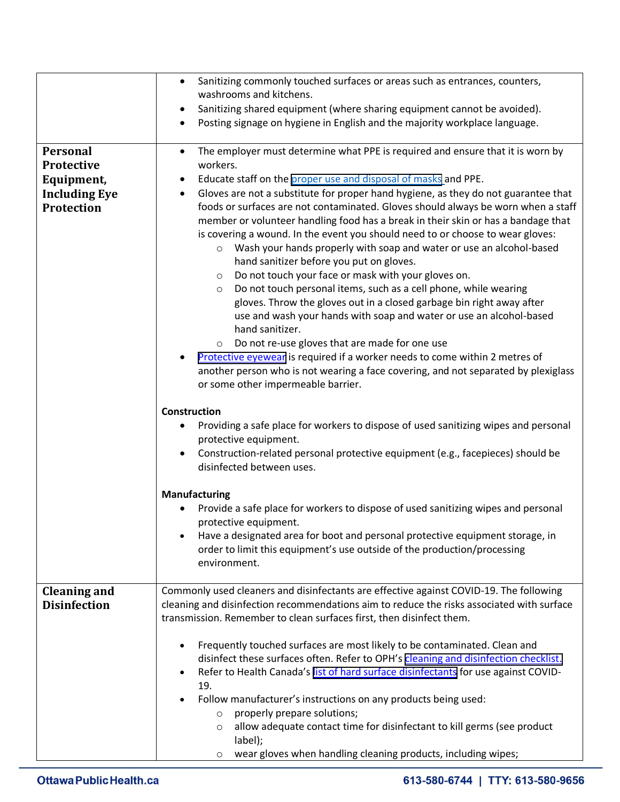|                                                                                   | Sanitizing commonly touched surfaces or areas such as entrances, counters,<br>$\bullet$<br>washrooms and kitchens.<br>Sanitizing shared equipment (where sharing equipment cannot be avoided).<br>Posting signage on hygiene in English and the majority workplace language.<br>$\bullet$                                                                                                                                                                                                                                                                                                                                                                                                                                                                                                                                                                                                                                                                                                                                                                                                                                                                                                                                                                                        |
|-----------------------------------------------------------------------------------|----------------------------------------------------------------------------------------------------------------------------------------------------------------------------------------------------------------------------------------------------------------------------------------------------------------------------------------------------------------------------------------------------------------------------------------------------------------------------------------------------------------------------------------------------------------------------------------------------------------------------------------------------------------------------------------------------------------------------------------------------------------------------------------------------------------------------------------------------------------------------------------------------------------------------------------------------------------------------------------------------------------------------------------------------------------------------------------------------------------------------------------------------------------------------------------------------------------------------------------------------------------------------------|
| Personal<br>Protective<br>Equipment,<br><b>Including Eye</b><br><b>Protection</b> | The employer must determine what PPE is required and ensure that it is worn by<br>$\bullet$<br>workers.<br>Educate staff on the proper use and disposal of masks and PPE.<br>$\bullet$<br>Gloves are not a substitute for proper hand hygiene, as they do not guarantee that<br>$\bullet$<br>foods or surfaces are not contaminated. Gloves should always be worn when a staff<br>member or volunteer handling food has a break in their skin or has a bandage that<br>is covering a wound. In the event you should need to or choose to wear gloves:<br>Wash your hands properly with soap and water or use an alcohol-based<br>$\circ$<br>hand sanitizer before you put on gloves.<br>Do not touch your face or mask with your gloves on.<br>$\circ$<br>Do not touch personal items, such as a cell phone, while wearing<br>$\circ$<br>gloves. Throw the gloves out in a closed garbage bin right away after<br>use and wash your hands with soap and water or use an alcohol-based<br>hand sanitizer.<br>Do not re-use gloves that are made for one use<br>$\circ$<br>Protective eyewear is required if a worker needs to come within 2 metres of<br>another person who is not wearing a face covering, and not separated by plexiglass<br>or some other impermeable barrier. |
|                                                                                   | <b>Construction</b><br>Providing a safe place for workers to dispose of used sanitizing wipes and personal<br>protective equipment.<br>Construction-related personal protective equipment (e.g., facepieces) should be<br>disinfected between uses.<br><b>Manufacturing</b><br>Provide a safe place for workers to dispose of used sanitizing wipes and personal<br>protective equipment.<br>Have a designated area for boot and personal protective equipment storage, in<br>order to limit this equipment's use outside of the production/processing                                                                                                                                                                                                                                                                                                                                                                                                                                                                                                                                                                                                                                                                                                                           |
| <b>Cleaning and</b><br><b>Disinfection</b>                                        | environment.<br>Commonly used cleaners and disinfectants are effective against COVID-19. The following<br>cleaning and disinfection recommendations aim to reduce the risks associated with surface                                                                                                                                                                                                                                                                                                                                                                                                                                                                                                                                                                                                                                                                                                                                                                                                                                                                                                                                                                                                                                                                              |
|                                                                                   | transmission. Remember to clean surfaces first, then disinfect them.<br>Frequently touched surfaces are most likely to be contaminated. Clean and<br>disinfect these surfaces often. Refer to OPH's cleaning and disinfection checklist.<br>Refer to Health Canada's list of hard surface disinfectants for use against COVID-<br>19.<br>Follow manufacturer's instructions on any products being used:<br>properly prepare solutions;<br>$\circ$<br>allow adequate contact time for disinfectant to kill germs (see product<br>$\circ$<br>label);<br>wear gloves when handling cleaning products, including wipes;<br>O                                                                                                                                                                                                                                                                                                                                                                                                                                                                                                                                                                                                                                                         |